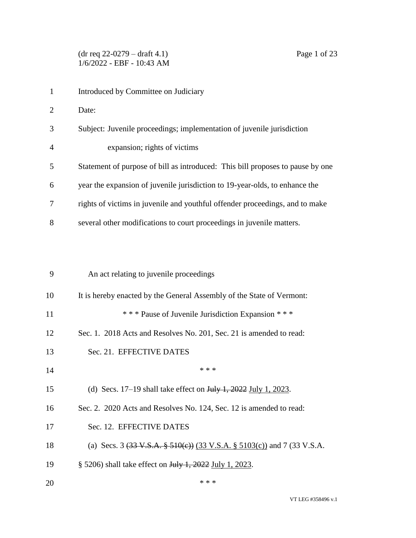1 Introduced by Committee on Judiciary Date: Subject: Juvenile proceedings; implementation of juvenile jurisdiction expansion; rights of victims Statement of purpose of bill as introduced: This bill proposes to pause by one year the expansion of juvenile jurisdiction to 19-year-olds, to enhance the rights of victims in juvenile and youthful offender proceedings, and to make several other modifications to court proceedings in juvenile matters.

| 9  | An act relating to juvenile proceedings                                                            |
|----|----------------------------------------------------------------------------------------------------|
| 10 | It is hereby enacted by the General Assembly of the State of Vermont:                              |
| 11 | *** Pause of Juvenile Jurisdiction Expansion ***                                                   |
| 12 | Sec. 1. 2018 Acts and Resolves No. 201, Sec. 21 is amended to read:                                |
| 13 | Sec. 21. EFFECTIVE DATES                                                                           |
| 14 | * * *                                                                                              |
| 15 | (d) Secs. $17-19$ shall take effect on $\frac{\text{Hily 1}}{2022}$ July 1, 2023.                  |
| 16 | Sec. 2. 2020 Acts and Resolves No. 124, Sec. 12 is amended to read:                                |
| 17 | Sec. 12. EFFECTIVE DATES                                                                           |
| 18 | (a) Secs. 3 $(33 \text{ V.S.A.} \frac{2}{9} \frac{510}{e})$ (33 V.S.A. § 5103(c)) and 7 (33 V.S.A. |
| 19 | § 5206) shall take effect on <del>July 1, 2022</del> July 1, 2023.                                 |
| 20 | * * *                                                                                              |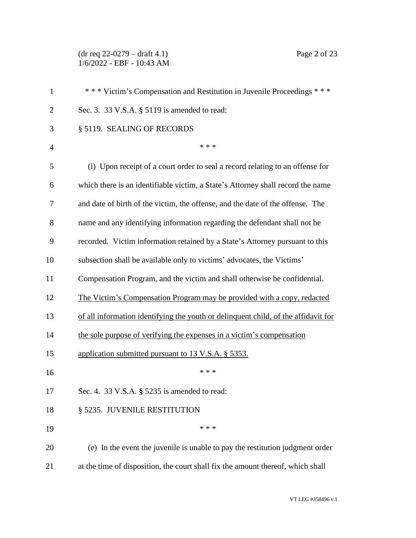(dr req 22-0279 – draft 4.1) Page 2 of 23 1/6/2022 - EBF - 10:43 AM

| $\mathbf{1}$   | *** Victim's Compensation and Restitution in Juvenile Proceedings ***              |
|----------------|------------------------------------------------------------------------------------|
| $\overline{2}$ | Sec. 3. 33 V.S.A. § 5119 is amended to read:                                       |
| 3              | § 5119. SEALING OF RECORDS                                                         |
| $\overline{4}$ | * * *                                                                              |
| 5              | (i) Upon receipt of a court order to seal a record relating to an offense for      |
| 6              | which there is an identifiable victim, a State's Attorney shall record the name    |
| 7              | and date of birth of the victim, the offense, and the date of the offense. The     |
| 8              | name and any identifying information regarding the defendant shall not be          |
| 9              | recorded. Victim information retained by a State's Attorney pursuant to this       |
| 10             | subsection shall be available only to victims' advocates, the Victims'             |
| 11             | Compensation Program, and the victim and shall otherwise be confidential.          |
| 12             | The Victim's Compensation Program may be provided with a copy, redacted            |
| 13             | of all information identifying the youth or delinquent child, of the affidavit for |
| 14             | the sole purpose of verifying the expenses in a victim's compensation              |
| 15             | application submitted pursuant to 13 V.S.A. § 5353.                                |
| 16             | * * *                                                                              |
| 17             | Sec. 4. 33 V.S.A. § 5235 is amended to read:                                       |
| 18             | § 5235. JUVENILE RESTITUTION                                                       |
| 19             | * * *                                                                              |
| 20             | (e) In the event the juvenile is unable to pay the restitution judgment order      |
| 21             | at the time of disposition, the court shall fix the amount thereof, which shall    |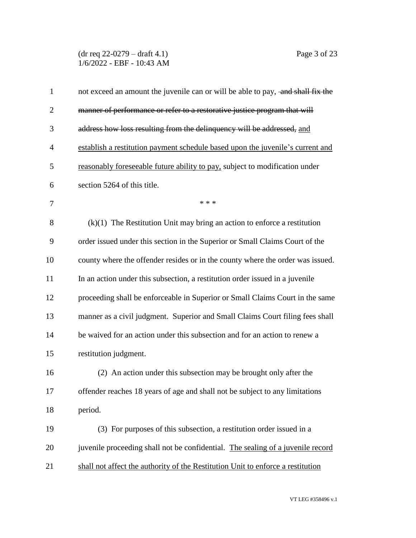(dr req 22-0279 – draft 4.1) Page 3 of 23 1/6/2022 - EBF - 10:43 AM

| $\mathbf{1}$   | not exceed an amount the juvenile can or will be able to pay, and shall fix the |
|----------------|---------------------------------------------------------------------------------|
| $\overline{2}$ | manner of performance or refer to a restorative justice program that will       |
| 3              | address how loss resulting from the delinquency will be addressed, and          |
| $\overline{4}$ | establish a restitution payment schedule based upon the juvenile's current and  |
| 5              | reasonably foreseeable future ability to pay, subject to modification under     |
| 6              | section 5264 of this title.                                                     |
| 7              | * * *                                                                           |
| 8              | $(k)(1)$ The Restitution Unit may bring an action to enforce a restitution      |
| 9              | order issued under this section in the Superior or Small Claims Court of the    |
| 10             | county where the offender resides or in the county where the order was issued.  |
| 11             | In an action under this subsection, a restitution order issued in a juvenile    |
| 12             | proceeding shall be enforceable in Superior or Small Claims Court in the same   |
| 13             | manner as a civil judgment. Superior and Small Claims Court filing fees shall   |
| 14             | be waived for an action under this subsection and for an action to renew a      |
| 15             | restitution judgment.                                                           |
| 16             | (2) An action under this subsection may be brought only after the               |
| 17             | offender reaches 18 years of age and shall not be subject to any limitations    |
| 18             | period.                                                                         |
| 19             | (3) For purposes of this subsection, a restitution order issued in a            |
| 20             | juvenile proceeding shall not be confidential. The sealing of a juvenile record |
| 21             | shall not affect the authority of the Restitution Unit to enforce a restitution |
|                |                                                                                 |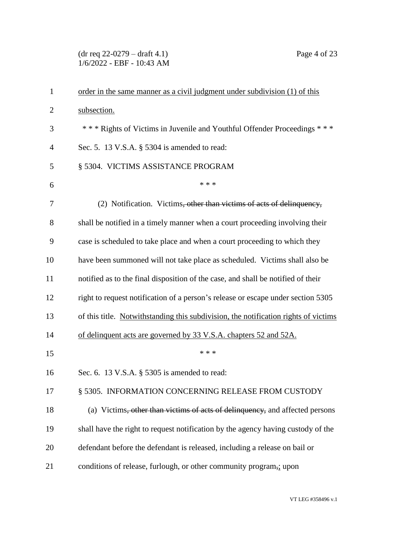(dr req 22-0279 – draft 4.1) Page 4 of 23 1/6/2022 - EBF - 10:43 AM

| $\mathbf{1}$   | order in the same manner as a civil judgment under subdivision (1) of this          |
|----------------|-------------------------------------------------------------------------------------|
| $\overline{2}$ | subsection.                                                                         |
| 3              | *** Rights of Victims in Juvenile and Youthful Offender Proceedings ***             |
| $\overline{4}$ | Sec. 5. 13 V.S.A. § 5304 is amended to read:                                        |
| 5              | § 5304. VICTIMS ASSISTANCE PROGRAM                                                  |
| 6              | * * *                                                                               |
| 7              | (2) Notification. Victims, other than victims of acts of delinquency,               |
| 8              | shall be notified in a timely manner when a court proceeding involving their        |
| 9              | case is scheduled to take place and when a court proceeding to which they           |
| 10             | have been summoned will not take place as scheduled. Victims shall also be          |
| 11             | notified as to the final disposition of the case, and shall be notified of their    |
| 12             | right to request notification of a person's release or escape under section 5305    |
| 13             | of this title. Notwithstanding this subdivision, the notification rights of victims |
| 14             | of delinquent acts are governed by 33 V.S.A. chapters 52 and 52A.                   |
| 15             | * * *                                                                               |
| 16             | Sec. 6. 13 V.S.A. § 5305 is amended to read:                                        |
| 17             | § 5305. INFORMATION CONCERNING RELEASE FROM CUSTODY                                 |
| 18             | (a) Victims, other than victims of acts of delinquency, and affected persons        |
| 19             | shall have the right to request notification by the agency having custody of the    |
| 20             | defendant before the defendant is released, including a release on bail or          |
| 21             | conditions of release, furlough, or other community program,; upon                  |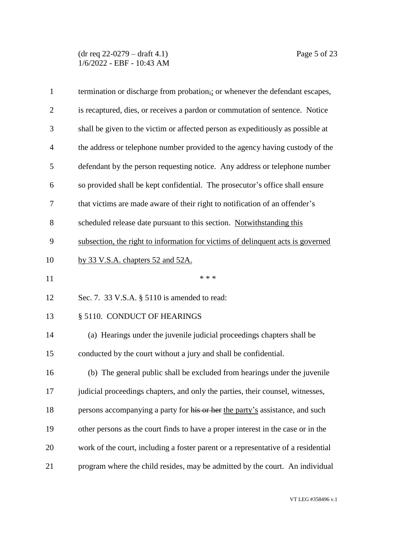(dr req 22-0279 – draft 4.1) Page 5 of 23 1/6/2022 - EBF - 10:43 AM

| $\mathbf{1}$   | termination or discharge from probation,; or whenever the defendant escapes,      |
|----------------|-----------------------------------------------------------------------------------|
| $\overline{2}$ | is recaptured, dies, or receives a pardon or commutation of sentence. Notice      |
| 3              | shall be given to the victim or affected person as expeditiously as possible at   |
| $\overline{4}$ | the address or telephone number provided to the agency having custody of the      |
| 5              | defendant by the person requesting notice. Any address or telephone number        |
| 6              | so provided shall be kept confidential. The prosecutor's office shall ensure      |
| 7              | that victims are made aware of their right to notification of an offender's       |
| 8              | scheduled release date pursuant to this section. Notwithstanding this             |
| 9              | subsection, the right to information for victims of delinquent acts is governed   |
| 10             | by 33 V.S.A. chapters 52 and 52A.                                                 |
| 11             | * * *                                                                             |
| 12             | Sec. 7. 33 V.S.A. § 5110 is amended to read:                                      |
| 13             | § 5110. CONDUCT OF HEARINGS                                                       |
| 14             | (a) Hearings under the juvenile judicial proceedings chapters shall be            |
| 15             | conducted by the court without a jury and shall be confidential.                  |
| 16             | (b) The general public shall be excluded from hearings under the juvenile         |
| 17             | judicial proceedings chapters, and only the parties, their counsel, witnesses     |
| 18             | persons accompanying a party for his or her the party's assistance, and such      |
| 19             | other persons as the court finds to have a proper interest in the case or in the  |
| 20             | work of the court, including a foster parent or a representative of a residential |
| 21             | program where the child resides, may be admitted by the court. An individual      |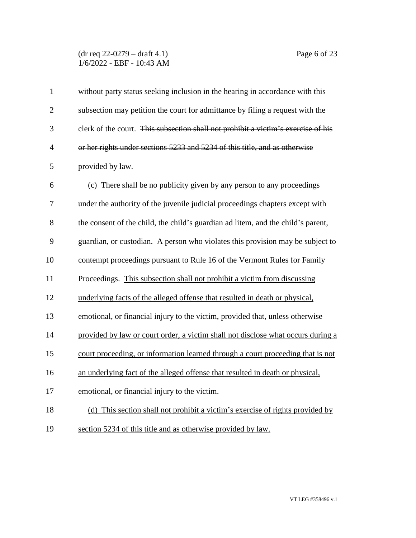(dr req 22-0279 – draft 4.1) Page 6 of 23 1/6/2022 - EBF - 10:43 AM

| $\mathbf{1}$   | without party status seeking inclusion in the hearing in accordance with this     |
|----------------|-----------------------------------------------------------------------------------|
| $\overline{2}$ | subsection may petition the court for admittance by filing a request with the     |
| 3              | clerk of the court. This subsection shall not prohibit a victim's exercise of his |
| $\overline{4}$ | or her rights under sections 5233 and 5234 of this title, and as otherwise        |
| 5              | provided by law.                                                                  |
| 6              | (c) There shall be no publicity given by any person to any proceedings            |
| 7              | under the authority of the juvenile judicial proceedings chapters except with     |
| 8              | the consent of the child, the child's guardian ad litem, and the child's parent,  |
| 9              | guardian, or custodian. A person who violates this provision may be subject to    |
| 10             | contempt proceedings pursuant to Rule 16 of the Vermont Rules for Family          |
| 11             | Proceedings. This subsection shall not prohibit a victim from discussing          |
| 12             | underlying facts of the alleged offense that resulted in death or physical,       |
| 13             | emotional, or financial injury to the victim, provided that, unless otherwise     |
| 14             | provided by law or court order, a victim shall not disclose what occurs during a  |
| 15             | court proceeding, or information learned through a court proceeding that is not   |
| 16             | an underlying fact of the alleged offense that resulted in death or physical,     |
| 17             | emotional, or financial injury to the victim.                                     |
| 18             | (d) This section shall not prohibit a victim's exercise of rights provided by     |
| 19             | section 5234 of this title and as otherwise provided by law.                      |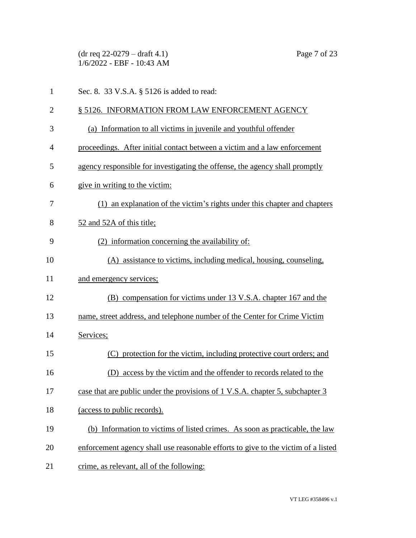(dr req 22-0279 – draft 4.1) Page 7 of 23 1/6/2022 - EBF - 10:43 AM 1 Sec. 8. 33 V.S.A. § 5126 is added to read: 2 § 5126. INFORMATION FROM LAW ENFORCEMENT AGENCY (a) Information to all victims in juvenile and youthful offender proceedings. After initial contact between a victim and a law enforcement agency responsible for investigating the offense, the agency shall promptly give in writing to the victim: (1) an explanation of the victim's rights under this chapter and chapters 52 and 52A of this title; (2) information concerning the availability of: (A) assistance to victims, including medical, housing, counseling, and emergency services; (B) compensation for victims under 13 V.S.A. chapter 167 and the name, street address, and telephone number of the Center for Crime Victim Services; (C) protection for the victim, including protective court orders; and (D) access by the victim and the offender to records related to the case that are public under the provisions of 1 V.S.A. chapter 5, subchapter 3 (access to public records). (b) Information to victims of listed crimes. As soon as practicable, the law enforcement agency shall use reasonable efforts to give to the victim of a listed 21 crime, as relevant, all of the following:

VT LEG #358496 v.1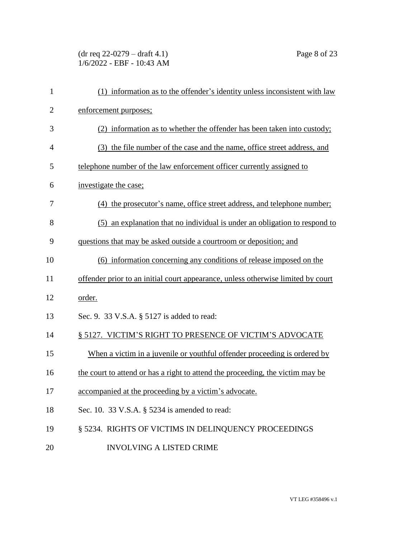(dr req 22-0279 – draft 4.1) Page 8 of 23 1/6/2022 - EBF - 10:43 AM

| $\mathbf{1}$   | (1) information as to the offender's identity unless inconsistent with law       |
|----------------|----------------------------------------------------------------------------------|
| $\overline{2}$ | enforcement purposes;                                                            |
| 3              | (2) information as to whether the offender has been taken into custody;          |
| $\overline{4}$ | (3) the file number of the case and the name, office street address, and         |
| 5              | telephone number of the law enforcement officer currently assigned to            |
| 6              | investigate the case;                                                            |
| 7              | (4) the prosecutor's name, office street address, and telephone number;          |
| 8              | (5) an explanation that no individual is under an obligation to respond to       |
| 9              | questions that may be asked outside a courtroom or deposition; and               |
| 10             | (6) information concerning any conditions of release imposed on the              |
| 11             | offender prior to an initial court appearance, unless otherwise limited by court |
| 12             | order.                                                                           |
| 13             | Sec. 9. 33 V.S.A. § 5127 is added to read:                                       |
| 14             | § 5127. VICTIM'S RIGHT TO PRESENCE OF VICTIM'S ADVOCATE                          |
| 15             | When a victim in a juvenile or youthful offender proceeding is ordered by        |
| 16             | the court to attend or has a right to attend the proceeding, the victim may be   |
| 17             | accompanied at the proceeding by a victim's advocate.                            |
| 18             | Sec. 10. 33 V.S.A. § 5234 is amended to read:                                    |
| 19             | § 5234. RIGHTS OF VICTIMS IN DELINQUENCY PROCEEDINGS                             |
| 20             | <b>INVOLVING A LISTED CRIME</b>                                                  |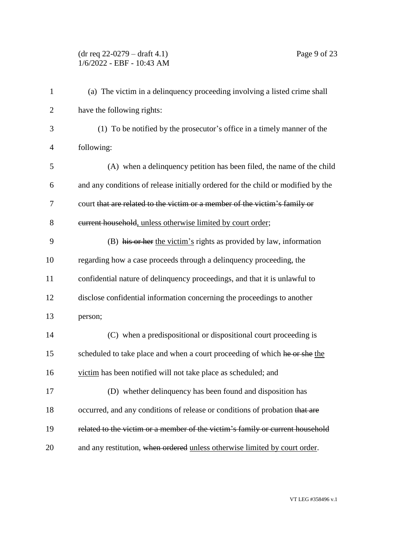## (dr req 22-0279 – draft 4.1) Page 9 of 23 1/6/2022 - EBF - 10:43 AM

| (a) The victim in a delinquency proceeding involving a listed crime shall        |
|----------------------------------------------------------------------------------|
| have the following rights:                                                       |
| (1) To be notified by the prosecutor's office in a timely manner of the          |
| following:                                                                       |
| (A) when a delinquency petition has been filed, the name of the child            |
| and any conditions of release initially ordered for the child or modified by the |
| court that are related to the victim or a member of the victim's family or       |
| eurrent household, unless otherwise limited by court order;                      |
| (B) his or her the victim's rights as provided by law, information               |
| regarding how a case proceeds through a delinquency proceeding, the              |
| confidential nature of delinquency proceedings, and that it is unlawful to       |
| disclose confidential information concerning the proceedings to another          |
| person;                                                                          |
| (C) when a predispositional or dispositional court proceeding is                 |
| scheduled to take place and when a court proceeding of which he or she the       |
| victim has been notified will not take place as scheduled; and                   |
| (D) whether delinquency has been found and disposition has                       |
| occurred, and any conditions of release or conditions of probation that are      |
| related to the victim or a member of the victim's family or current household    |
| and any restitution, when ordered unless otherwise limited by court order.       |
|                                                                                  |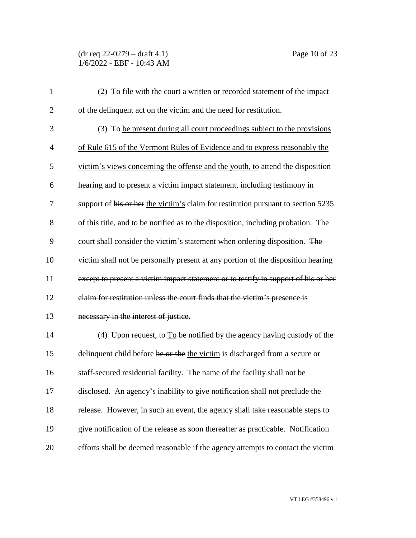(dr req 22-0279 – draft 4.1) Page 10 of 23 1/6/2022 - EBF - 10:43 AM

| $\mathbf{1}$   | (2) To file with the court a written or recorded statement of the impact              |
|----------------|---------------------------------------------------------------------------------------|
| $\overline{2}$ | of the delinquent act on the victim and the need for restitution.                     |
| 3              | (3) To be present during all court proceedings subject to the provisions              |
| $\overline{4}$ | of Rule 615 of the Vermont Rules of Evidence and to express reasonably the            |
| 5              | victim's views concerning the offense and the youth, to attend the disposition        |
| 6              | hearing and to present a victim impact statement, including testimony in              |
| 7              | support of his or her the victim's claim for restitution pursuant to section 5235     |
| 8              | of this title, and to be notified as to the disposition, including probation. The     |
| 9              | court shall consider the victim's statement when ordering disposition. The            |
| 10             | victim shall not be personally present at any portion of the disposition hearing      |
| 11             | except to present a victim impact statement or to testify in support of his or her    |
| 12             | claim for restitution unless the court finds that the victim's presence is            |
| 13             | necessary in the interest of justice.                                                 |
| 14             | (4) Upon request, to $\overline{I_0}$ be notified by the agency having custody of the |
| 15             | delinquent child before he or she the victim is discharged from a secure or           |
| 16             | staff-secured residential facility. The name of the facility shall not be             |
| 17             | disclosed. An agency's inability to give notification shall not preclude the          |
| 18             | release. However, in such an event, the agency shall take reasonable steps to         |
| 19             | give notification of the release as soon thereafter as practicable. Notification      |
| 20             | efforts shall be deemed reasonable if the agency attempts to contact the victim       |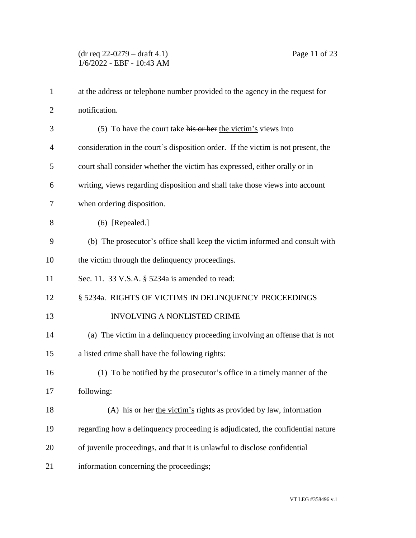(dr req 22-0279 – draft 4.1) Page 11 of 23 1/6/2022 - EBF - 10:43 AM

| $\mathbf{1}$   | at the address or telephone number provided to the agency in the request for      |
|----------------|-----------------------------------------------------------------------------------|
| $\overline{2}$ | notification.                                                                     |
| 3              | $(5)$ To have the court take his or her the victim's views into                   |
| 4              | consideration in the court's disposition order. If the victim is not present, the |
| 5              | court shall consider whether the victim has expressed, either orally or in        |
| 6              | writing, views regarding disposition and shall take those views into account      |
| 7              | when ordering disposition.                                                        |
| 8              | $(6)$ [Repealed.]                                                                 |
| 9              | (b) The prosecutor's office shall keep the victim informed and consult with       |
| 10             | the victim through the delinquency proceedings.                                   |
| 11             | Sec. 11. 33 V.S.A. § 5234a is amended to read:                                    |
| 12             | § 5234a. RIGHTS OF VICTIMS IN DELINQUENCY PROCEEDINGS                             |
| 13             | INVOLVING A NONLISTED CRIME                                                       |
| 14             | (a) The victim in a delinquency proceeding involving an offense that is not       |
| 15             | a listed crime shall have the following rights:                                   |
| 16             | (1) To be notified by the prosecutor's office in a timely manner of the           |
| 17             | following:                                                                        |
| 18             | (A) his or her the victim's rights as provided by law, information                |
| 19             | regarding how a delinquency proceeding is adjudicated, the confidential nature    |
| 20             | of juvenile proceedings, and that it is unlawful to disclose confidential         |
| 21             | information concerning the proceedings;                                           |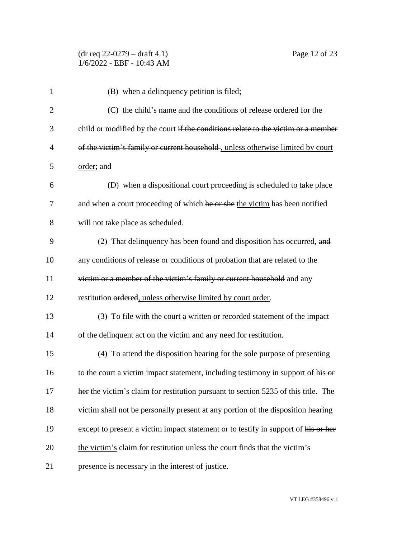| 1              | (B) when a delinquency petition is filed;                                          |
|----------------|------------------------------------------------------------------------------------|
| $\overline{2}$ | (C) the child's name and the conditions of release ordered for the                 |
| 3              | child or modified by the court if the conditions relate to the victim or a member  |
| $\overline{4}$ | of the victim's family or current household, unless otherwise limited by court     |
| 5              | order; and                                                                         |
| 6              | (D) when a dispositional court proceeding is scheduled to take place               |
| $\tau$         | and when a court proceeding of which he or she the victim has been notified        |
| 8              | will not take place as scheduled.                                                  |
| 9              | (2) That delinquency has been found and disposition has occurred, and              |
| 10             | any conditions of release or conditions of probation that are related to the       |
| 11             | victim or a member of the victim's family or current household and any             |
| 12             | restitution ordered, unless otherwise limited by court order.                      |
| 13             | (3) To file with the court a written or recorded statement of the impact           |
| 14             | of the delinquent act on the victim and any need for restitution.                  |
| 15             | (4) To attend the disposition hearing for the sole purpose of presenting           |
| 16             | to the court a victim impact statement, including testimony in support of his or   |
| 17             | her the victim's claim for restitution pursuant to section 5235 of this title. The |
| 18             | victim shall not be personally present at any portion of the disposition hearing   |
| 19             | except to present a victim impact statement or to testify in support of his or her |
| 20             | the victim's claim for restitution unless the court finds that the victim's        |
| 21             | presence is necessary in the interest of justice.                                  |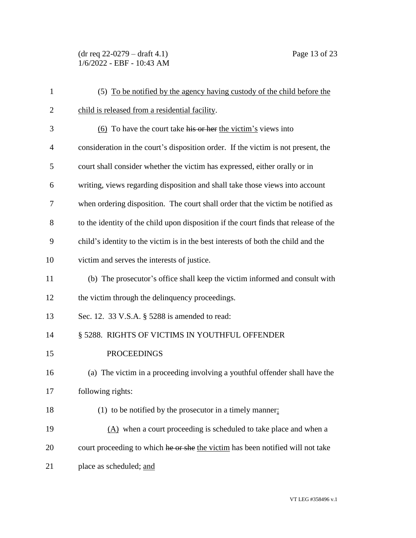(dr req 22-0279 – draft 4.1) Page 13 of 23 1/6/2022 - EBF - 10:43 AM

| $\mathbf{1}$   | (5) To be notified by the agency having custody of the child before the              |
|----------------|--------------------------------------------------------------------------------------|
| $\overline{c}$ | child is released from a residential facility.                                       |
| 3              | (6) To have the court take his or her the victim's views into                        |
| $\overline{4}$ | consideration in the court's disposition order. If the victim is not present, the    |
| 5              | court shall consider whether the victim has expressed, either orally or in           |
| 6              | writing, views regarding disposition and shall take those views into account         |
| 7              | when ordering disposition. The court shall order that the victim be notified as      |
| 8              | to the identity of the child upon disposition if the court finds that release of the |
| 9              | child's identity to the victim is in the best interests of both the child and the    |
| 10             | victim and serves the interests of justice.                                          |
| 11             | (b) The prosecutor's office shall keep the victim informed and consult with          |
| 12             | the victim through the delinquency proceedings.                                      |
| 13             | Sec. 12. 33 V.S.A. § 5288 is amended to read:                                        |
| 14             | § 5288. RIGHTS OF VICTIMS IN YOUTHFUL OFFENDER                                       |
| 15             | <b>PROCEEDINGS</b>                                                                   |
| 16             | (a) The victim in a proceeding involving a youthful offender shall have the          |
| 17             | following rights:                                                                    |
| 18             | (1) to be notified by the prosecutor in a timely manner:                             |
| 19             | $(A)$ when a court proceeding is scheduled to take place and when a                  |
| 20             | court proceeding to which he or she the victim has been notified will not take       |
| 21             | place as scheduled; and                                                              |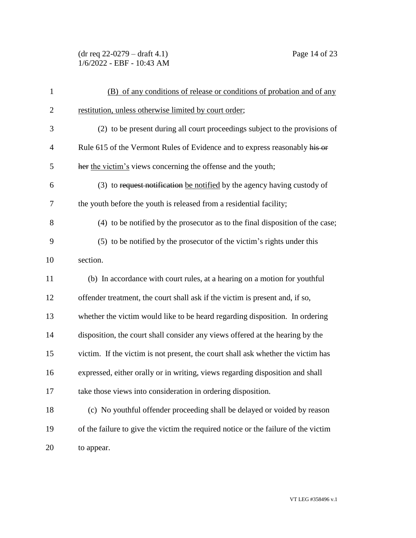(dr req 22-0279 – draft 4.1) Page 14 of 23 1/6/2022 - EBF - 10:43 AM

| $\mathbf{1}$   | (B) of any conditions of release or conditions of probation and of any             |
|----------------|------------------------------------------------------------------------------------|
| $\overline{2}$ | restitution, unless otherwise limited by court order;                              |
| 3              | (2) to be present during all court proceedings subject to the provisions of        |
| $\overline{4}$ | Rule 615 of the Vermont Rules of Evidence and to express reasonably his or         |
| 5              | her the victim's views concerning the offense and the youth;                       |
| 6              | (3) to request notification be notified by the agency having custody of            |
| 7              | the youth before the youth is released from a residential facility;                |
| 8              | (4) to be notified by the prosecutor as to the final disposition of the case;      |
| 9              | (5) to be notified by the prosecutor of the victim's rights under this             |
| 10             | section.                                                                           |
| 11             | (b) In accordance with court rules, at a hearing on a motion for youthful          |
| 12             | offender treatment, the court shall ask if the victim is present and, if so,       |
| 13             | whether the victim would like to be heard regarding disposition. In ordering       |
| 14             | disposition, the court shall consider any views offered at the hearing by the      |
| 15             | victim. If the victim is not present, the court shall ask whether the victim has   |
| 16             | expressed, either orally or in writing, views regarding disposition and shall      |
| 17             | take those views into consideration in ordering disposition.                       |
| 18             | (c) No youthful offender proceeding shall be delayed or voided by reason           |
| 19             | of the failure to give the victim the required notice or the failure of the victim |
| 20             | to appear.                                                                         |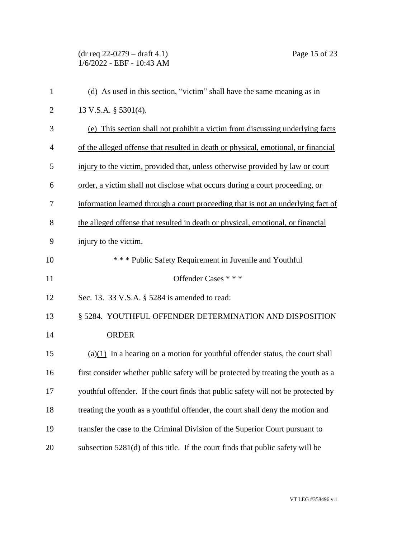(dr req 22-0279 – draft 4.1) Page 15 of 23  $1/6/2022$  - EBF -  $10.43$  AM (d) As used in this section, "victim" shall have the same meaning as in 13 V.S.A. § 5301(4). (e) This section shall not prohibit a victim from discussing underlying facts of the alleged offense that resulted in death or physical, emotional, or financial injury to the victim, provided that, unless otherwise provided by law or court order, a victim shall not disclose what occurs during a court proceeding, or information learned through a court proceeding that is not an underlying fact of the alleged offense that resulted in death or physical, emotional, or financial injury to the victim. \* \* \* Public Safety Requirement in Juvenile and Youthful 11 Offender Cases \* \* \* Sec. 13. 33 V.S.A. § 5284 is amended to read: § 5284. YOUTHFUL OFFENDER DETERMINATION AND DISPOSITION 14 ORDER (a)(1) In a hearing on a motion for youthful offender status, the court shall first consider whether public safety will be protected by treating the youth as a youthful offender. If the court finds that public safety will not be protected by treating the youth as a youthful offender, the court shall deny the motion and transfer the case to the Criminal Division of the Superior Court pursuant to subsection 5281(d) of this title. If the court finds that public safety will be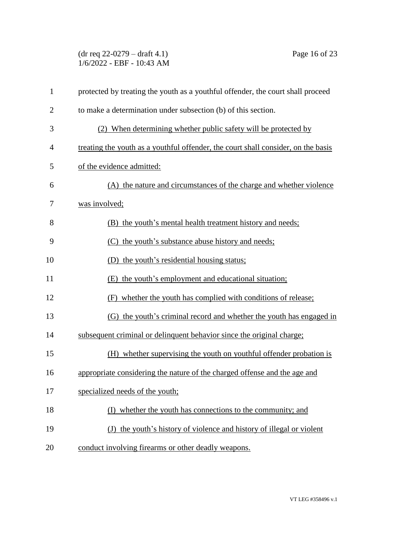(dr req 22-0279 – draft 4.1) Page 16 of 23 1/6/2022 - EBF - 10:43 AM

| $\mathbf{1}$   | protected by treating the youth as a youthful offender, the court shall proceed   |
|----------------|-----------------------------------------------------------------------------------|
| $\overline{2}$ | to make a determination under subsection (b) of this section.                     |
| 3              | (2) When determining whether public safety will be protected by                   |
| 4              | treating the youth as a youthful offender, the court shall consider, on the basis |
| 5              | of the evidence admitted:                                                         |
| 6              | (A) the nature and circumstances of the charge and whether violence               |
| 7              | was involved;                                                                     |
| 8              | (B) the youth's mental health treatment history and needs;                        |
| 9              | (C) the youth's substance abuse history and needs;                                |
| 10             | (D) the youth's residential housing status;                                       |
| 11             | (E) the youth's employment and educational situation;                             |
| 12             | (F) whether the youth has complied with conditions of release;                    |
| 13             | (G) the youth's criminal record and whether the youth has engaged in              |
| 14             | subsequent criminal or delinquent behavior since the original charge;             |
| 15             | (H) whether supervising the youth on youthful offender probation is               |
| 16             | appropriate considering the nature of the charged offense and the age and         |
| 17             | specialized needs of the youth;                                                   |
| 18             | whether the youth has connections to the community; and<br>(1)                    |
| 19             | (J) the youth's history of violence and history of illegal or violent             |
| 20             | conduct involving firearms or other deadly weapons.                               |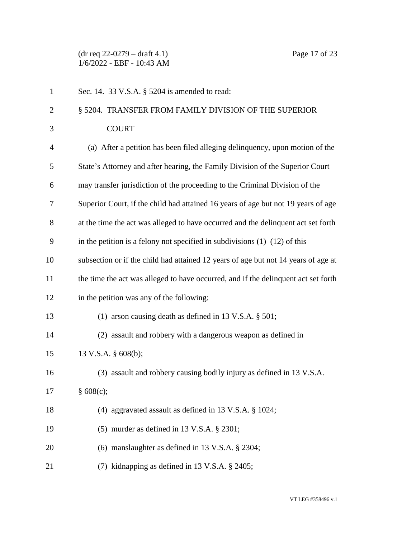(dr req 22-0279 – draft 4.1) Page 17 of 23 1/6/2022 - EBF - 10:43 AM

| $\mathbf{1}$   | Sec. 14. 33 V.S.A. § 5204 is amended to read:                                      |
|----------------|------------------------------------------------------------------------------------|
| $\overline{2}$ | § 5204. TRANSFER FROM FAMILY DIVISION OF THE SUPERIOR                              |
| 3              | <b>COURT</b>                                                                       |
| 4              | (a) After a petition has been filed alleging delinquency, upon motion of the       |
| 5              | State's Attorney and after hearing, the Family Division of the Superior Court      |
| 6              | may transfer jurisdiction of the proceeding to the Criminal Division of the        |
| 7              | Superior Court, if the child had attained 16 years of age but not 19 years of age  |
| 8              | at the time the act was alleged to have occurred and the delinquent act set forth  |
| 9              | in the petition is a felony not specified in subdivisions $(1)$ – $(12)$ of this   |
| 10             | subsection or if the child had attained 12 years of age but not 14 years of age at |
| 11             | the time the act was alleged to have occurred, and if the delinquent act set forth |
| 12             | in the petition was any of the following:                                          |
| 13             | (1) arson causing death as defined in 13 V.S.A. $\S$ 501;                          |
| 14             | (2) assault and robbery with a dangerous weapon as defined in                      |
| 15             | 13 V.S.A. § 608(b);                                                                |
| 16             | (3) assault and robbery causing bodily injury as defined in 13 V.S.A.              |
| 17             | § 608(c);                                                                          |
| 18             | (4) aggravated assault as defined in 13 V.S.A. § 1024;                             |
| 19             | (5) murder as defined in 13 V.S.A. § 2301;                                         |
| 20             | (6) manslaughter as defined in 13 V.S.A. $\S$ 2304;                                |
| 21             | (7) kidnapping as defined in 13 V.S.A. § 2405;                                     |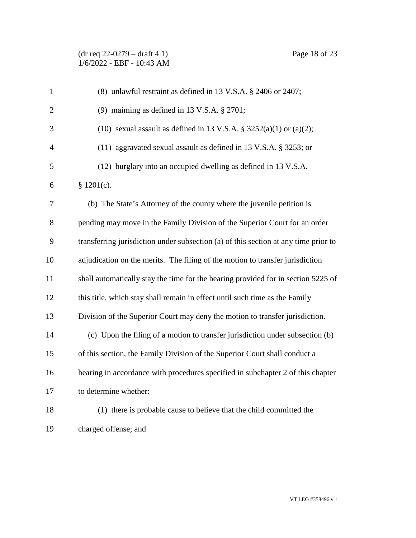(dr req 22-0279 – draft 4.1) Page 18 of 23 1/6/2022 - EBF - 10:43 AM

| $\mathbf{1}$   | (8) unlawful restraint as defined in 13 V.S.A. § 2406 or 2407;                      |
|----------------|-------------------------------------------------------------------------------------|
| $\overline{c}$ | (9) maiming as defined in 13 V.S.A. $\S 2701$ ;                                     |
| 3              | (10) sexual assault as defined in 13 V.S.A. $\S$ 3252(a)(1) or (a)(2);              |
| $\overline{4}$ | (11) aggravated sexual assault as defined in 13 V.S.A. § 3253; or                   |
| 5              | (12) burglary into an occupied dwelling as defined in 13 V.S.A.                     |
| 6              | \$1201(c).                                                                          |
| 7              | (b) The State's Attorney of the county where the juvenile petition is               |
| $8\,$          | pending may move in the Family Division of the Superior Court for an order          |
| 9              | transferring jurisdiction under subsection (a) of this section at any time prior to |
| 10             | adjudication on the merits. The filing of the motion to transfer jurisdiction       |
| 11             | shall automatically stay the time for the hearing provided for in section 5225 of   |
| 12             | this title, which stay shall remain in effect until such time as the Family         |
| 13             | Division of the Superior Court may deny the motion to transfer jurisdiction.        |
| 14             | (c) Upon the filing of a motion to transfer jurisdiction under subsection (b)       |
| 15             | of this section, the Family Division of the Superior Court shall conduct a          |
| 16             | hearing in accordance with procedures specified in subchapter 2 of this chapter     |
| 17             | to determine whether:                                                               |
| 18             | (1) there is probable cause to believe that the child committed the                 |
| 19             | charged offense; and                                                                |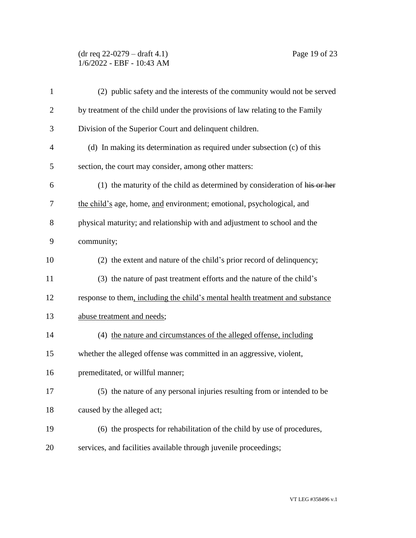## (dr req 22-0279 – draft 4.1) Page 19 of 23 1/6/2022 - EBF - 10:43 AM

| $\mathbf{1}$   | (2) public safety and the interests of the community would not be served      |
|----------------|-------------------------------------------------------------------------------|
| $\overline{2}$ | by treatment of the child under the provisions of law relating to the Family  |
| 3              | Division of the Superior Court and delinquent children.                       |
| $\overline{4}$ | (d) In making its determination as required under subsection (c) of this      |
| 5              | section, the court may consider, among other matters:                         |
| 6              | $(1)$ the maturity of the child as determined by consideration of his or her  |
| $\tau$         | the child's age, home, and environment; emotional, psychological, and         |
| 8              | physical maturity; and relationship with and adjustment to school and the     |
| 9              | community;                                                                    |
| 10             | (2) the extent and nature of the child's prior record of delinquency;         |
| 11             | (3) the nature of past treatment efforts and the nature of the child's        |
| 12             | response to them, including the child's mental health treatment and substance |
| 13             | abuse treatment and needs;                                                    |
| 14             | (4) the nature and circumstances of the alleged offense, including            |
| 15             | whether the alleged offense was committed in an aggressive, violent,          |
| 16             | premeditated, or willful manner;                                              |
| 17             | (5) the nature of any personal injuries resulting from or intended to be      |
| 18             | caused by the alleged act;                                                    |
| 19             | (6) the prospects for rehabilitation of the child by use of procedures,       |
| 20             | services, and facilities available through juvenile proceedings;              |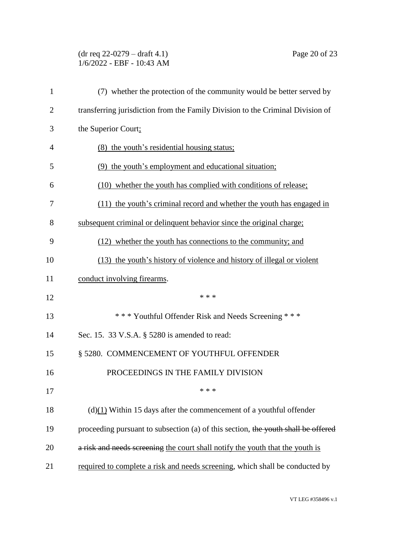## (dr req 22-0279 – draft 4.1) Page 20 of 23 1/6/2022 - EBF - 10:43 AM

| $\mathbf{1}$   | (7) whether the protection of the community would be better served by             |
|----------------|-----------------------------------------------------------------------------------|
| $\overline{2}$ | transferring jurisdiction from the Family Division to the Criminal Division of    |
| 3              | the Superior Court;                                                               |
| 4              | (8) the youth's residential housing status;                                       |
| 5              | (9) the youth's employment and educational situation;                             |
| 6              | (10) whether the youth has complied with conditions of release;                   |
| 7              | (11) the youth's criminal record and whether the youth has engaged in             |
| 8              | subsequent criminal or delinquent behavior since the original charge;             |
| 9              | (12) whether the youth has connections to the community; and                      |
| 10             | (13) the youth's history of violence and history of illegal or violent            |
| 11             | conduct involving firearms.                                                       |
| 12             | * * *                                                                             |
| 13             | *** Youthful Offender Risk and Needs Screening ***                                |
| 14             | Sec. 15. 33 V.S.A. § 5280 is amended to read:                                     |
| 15             | § 5280. COMMENCEMENT OF YOUTHFUL OFFENDER                                         |
| 16             | PROCEEDINGS IN THE FAMILY DIVISION                                                |
| 17             | * * *                                                                             |
| 18             | $(d)(1)$ Within 15 days after the commencement of a youthful offender             |
| 19             | proceeding pursuant to subsection (a) of this section, the youth shall be offered |
| 20             | a risk and needs screening the court shall notify the youth that the youth is     |
| 21             | required to complete a risk and needs screening, which shall be conducted by      |

VT LEG #358496 v.1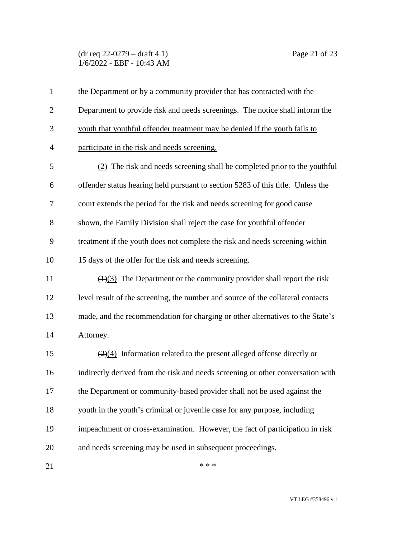(dr req 22-0279 – draft 4.1) Page 21 of 23 1/6/2022 - EBF - 10:43 AM

| $\mathbf{1}$   | the Department or by a community provider that has contracted with the                    |
|----------------|-------------------------------------------------------------------------------------------|
| $\overline{2}$ | Department to provide risk and needs screenings. The notice shall inform the              |
| 3              | youth that youthful offender treatment may be denied if the youth fails to                |
| $\overline{4}$ | participate in the risk and needs screening.                                              |
| 5              | (2) The risk and needs screening shall be completed prior to the youthful                 |
| 6              | offender status hearing held pursuant to section 5283 of this title. Unless the           |
| 7              | court extends the period for the risk and needs screening for good cause                  |
| 8              | shown, the Family Division shall reject the case for youthful offender                    |
| 9              | treatment if the youth does not complete the risk and needs screening within              |
| 10             | 15 days of the offer for the risk and needs screening.                                    |
| 11             | $\left(\frac{1}{3}\right)$ The Department or the community provider shall report the risk |
| 12             | level result of the screening, the number and source of the collateral contacts           |
| 13             | made, and the recommendation for charging or other alternatives to the State's            |
| 14             | Attorney.                                                                                 |
| 15             | $\left(\frac{2}{4}\right)$ Information related to the present alleged offense directly or |
| 16             | indirectly derived from the risk and needs screening or other conversation with           |
| 17             | the Department or community-based provider shall not be used against the                  |
| 18             | youth in the youth's criminal or juvenile case for any purpose, including                 |
| 19             | impeachment or cross-examination. However, the fact of participation in risk              |
| 20             | and needs screening may be used in subsequent proceedings.                                |
| 21             | * * *                                                                                     |

VT LEG #358496 v.1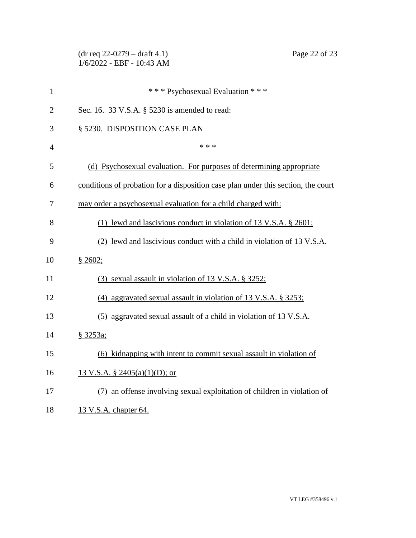|                | $(dr \text{ req } 22-0279 - draft 4.1)$<br>Page 22 of 23<br>1/6/2022 - EBF - 10:43 AM |
|----------------|---------------------------------------------------------------------------------------|
| $\mathbf{1}$   | *** Psychosexual Evaluation ***                                                       |
| $\overline{2}$ | Sec. 16. 33 V.S.A. § 5230 is amended to read:                                         |
| 3              | § 5230. DISPOSITION CASE PLAN                                                         |
| $\overline{4}$ | * * *                                                                                 |
| 5              | (d) Psychosexual evaluation. For purposes of determining appropriate                  |
| 6              | conditions of probation for a disposition case plan under this section, the court     |
| 7              | may order a psychosexual evaluation for a child charged with:                         |
| 8              | (1) lewd and lascivious conduct in violation of 13 V.S.A. $\S 2601$ ;                 |
| 9              | (2) lewd and lascivious conduct with a child in violation of 13 V.S.A.                |
| 10             | § 2602;                                                                               |
| 11             | (3) sexual assault in violation of 13 V.S.A. § 3252;                                  |
| 12             | (4) aggravated sexual assault in violation of 13 V.S.A. $\S$ 3253;                    |
| 13             | (5) aggravated sexual assault of a child in violation of 13 V.S.A.                    |
| 14             | § 3253a;                                                                              |
| 15             | (6) kidnapping with intent to commit sexual assault in violation of                   |
| 16             | 13 V.S.A. § 2405(a)(1)(D); or                                                         |
| 17             | (7) an offense involving sexual exploitation of children in violation of              |
| 18             | 13 V.S.A. chapter 64.                                                                 |